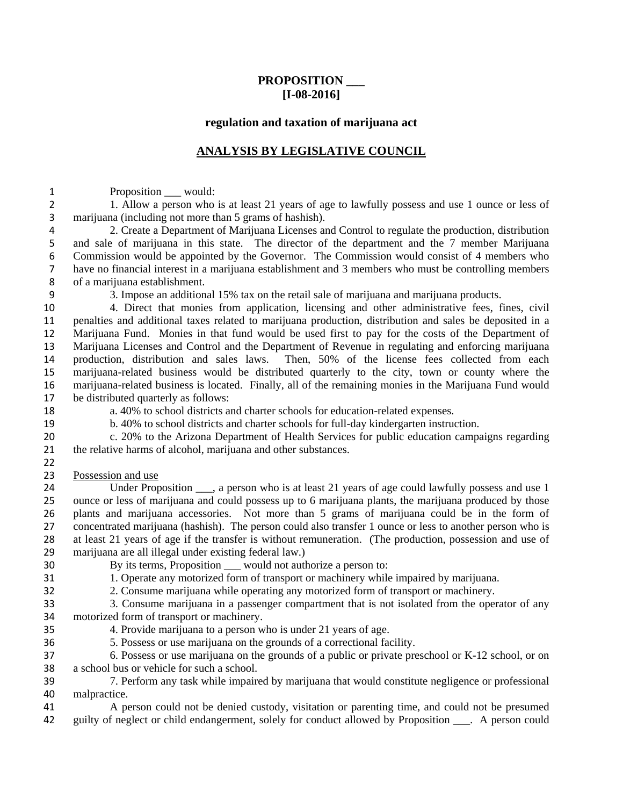## **PROPOSITION \_\_\_ [I-08-2016]**

### **regulation and taxation of marijuana act**

# **ANALYSIS BY LEGISLATIVE COUNCIL**

1 Proposition \_\_\_ would:

2 1. Allow a person who is at least 21 years of age to lawfully possess and use 1 ounce or less of marijuana (including not more than 5 grams of hashish).

2. Create a Department of Marijuana Licenses and Control to regulate the production, distribution and sale of marijuana in this state. The director of the department and the 7 member Marijuana 6 Commission would be appointed by the Governor. The Commission would consist of 4 members who have no financial interest in a marijuana establishment and 3 members who must be controlling members have no financial interest in a marijuana establishment and 3 members who must be controlling members of a marijuana establishment.

3. Impose an additional 15% tax on the retail sale of marijuana and marijuana products.

4. Direct that monies from application, licensing and other administrative fees, fines, civil penalties and additional taxes related to marijuana production, distribution and sales be deposited in a Marijuana Fund. Monies in that fund would be used first to pay for the costs of the Department of 13 Marijuana Licenses and Control and the Department of Revenue in regulating and enforcing marijuana<br>14 production, distribution and sales laws. Then, 50% of the license fees collected from each production, distribution and sales laws. Then, 50% of the license fees collected from each marijuana-related business would be distributed quarterly to the city, town or county where the marijuana-related business is located. Finally, all of the remaining monies in the Marijuana Fund would be distributed quarterly as follows:

a. 40% to school districts and charter schools for education-related expenses.

b. 40% to school districts and charter schools for full-day kindergarten instruction.

c. 20% to the Arizona Department of Health Services for public education campaigns regarding the relative harms of alcohol, marijuana and other substances. 

Possession and use

24 Under Proposition a person who is at least 21 years of age could lawfully possess and use 1 ounce or less of marijuana and could possess up to 6 marijuana plants, the marijuana produced by those plants and marijuana accessories. Not more than 5 grams of marijuana could be in the form of concentrated marijuana (hashish). The person could also transfer 1 ounce or less to another person who is at least 21 years of age if the transfer is without remuneration. (The production, possession and use of 29 marijuana are all illegal under existing federal law.)<br>20 By its terms. Proposition would not auth

- 
- By its terms, Proposition \_\_\_ would not authorize a person to:
- 1. Operate any motorized form of transport or machinery while impaired by marijuana.
- 2. Consume marijuana while operating any motorized form of transport or machinery.
- 3. Consume marijuana in a passenger compartment that is not isolated from the operator of any motorized form of transport or machinery.
- 4. Provide marijuana to a person who is under 21 years of age.
- 36 5. Possess or use marijuana on the grounds of a correctional facility.<br>37 6. Possess or use marijuana on the grounds of a public or private pre

6. Possess or use marijuana on the grounds of a public or private preschool or K-12 school, or on a school bus or vehicle for such a school.

7. Perform any task while impaired by marijuana that would constitute negligence or professional malpractice.

A person could not be denied custody, visitation or parenting time, and could not be presumed guilty of neglect or child endangerment, solely for conduct allowed by Proposition \_\_\_. A person could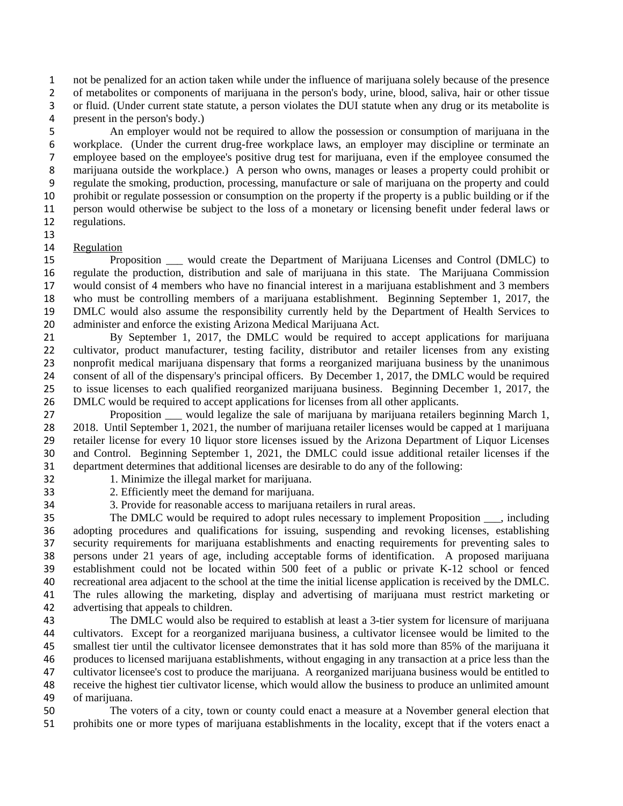not be penalized for an action taken while under the influence of marijuana solely because of the presence of metabolites or components of marijuana in the person's body, urine, blood, saliva, hair or other tissue or fluid. (Under current state statute, a person violates the DUI statute when any drug or its metabolite is present in the person's body.)

An employer would not be required to allow the possession or consumption of marijuana in the workplace. (Under the current drug-free workplace laws, an employer may discipline or terminate an employee based on the employee's positive drug test for marijuana, even if the employee consumed the marijuana outside the workplace.) A person who owns, manages or leases a property could prohibit or regulate the smoking, production, processing, manufacture or sale of marijuana on the property and could prohibit or regulate possession or consumption on the property if the property is a public building or if the person would otherwise be subject to the loss of a monetary or licensing benefit under federal laws or regulations.

### Regulation

Proposition \_\_\_ would create the Department of Marijuana Licenses and Control (DMLC) to regulate the production, distribution and sale of marijuana in this state. The Marijuana Commission would consist of 4 members who have no financial interest in a marijuana establishment and 3 members who must be controlling members of a marijuana establishment. Beginning September 1, 2017, the DMLC would also assume the responsibility currently held by the Department of Health Services to administer and enforce the existing Arizona Medical Marijuana Act.

By September 1, 2017, the DMLC would be required to accept applications for marijuana cultivator, product manufacturer, testing facility, distributor and retailer licenses from any existing nonprofit medical marijuana dispensary that forms a reorganized marijuana business by the unanimous consent of all of the dispensary's principal officers. By December 1, 2017, the DMLC would be required to issue licenses to each qualified reorganized marijuana business. Beginning December 1, 2017, the DMLC would be required to accept applications for licenses from all other applicants.

Proposition \_\_\_ would legalize the sale of marijuana by marijuana retailers beginning March 1, 2018. Until September 1, 2021, the number of marijuana retailer licenses would be capped at 1 marijuana retailer license for every 10 liquor store licenses issued by the Arizona Department of Liquor Licenses and Control. Beginning September 1, 2021, the DMLC could issue additional retailer licenses if the department determines that additional licenses are desirable to do any of the following:

- 
- 1. Minimize the illegal market for marijuana. 2. Efficiently meet the demand for marijuana.
- 
- 3. Provide for reasonable access to marijuana retailers in rural areas.

35 The DMLC would be required to adopt rules necessary to implement Proposition \_\_\_, including adopting procedures and qualifications for issuing, suspending and revoking licenses, establishing security requirements for marijuana establishments and enacting requirements for preventing sales to persons under 21 years of age, including acceptable forms of identification. A proposed marijuana establishment could not be located within 500 feet of a public or private K-12 school or fenced recreational area adjacent to the school at the time the initial license application is received by the DMLC. The rules allowing the marketing, display and advertising of marijuana must restrict marketing or advertising that appeals to children.

The DMLC would also be required to establish at least a 3-tier system for licensure of marijuana cultivators. Except for a reorganized marijuana business, a cultivator licensee would be limited to the smallest tier until the cultivator licensee demonstrates that it has sold more than 85% of the marijuana it produces to licensed marijuana establishments, without engaging in any transaction at a price less than the cultivator licensee's cost to produce the marijuana. A reorganized marijuana business would be entitled to receive the highest tier cultivator license, which would allow the business to produce an unlimited amount of marijuana.

The voters of a city, town or county could enact a measure at a November general election that prohibits one or more types of marijuana establishments in the locality, except that if the voters enact a